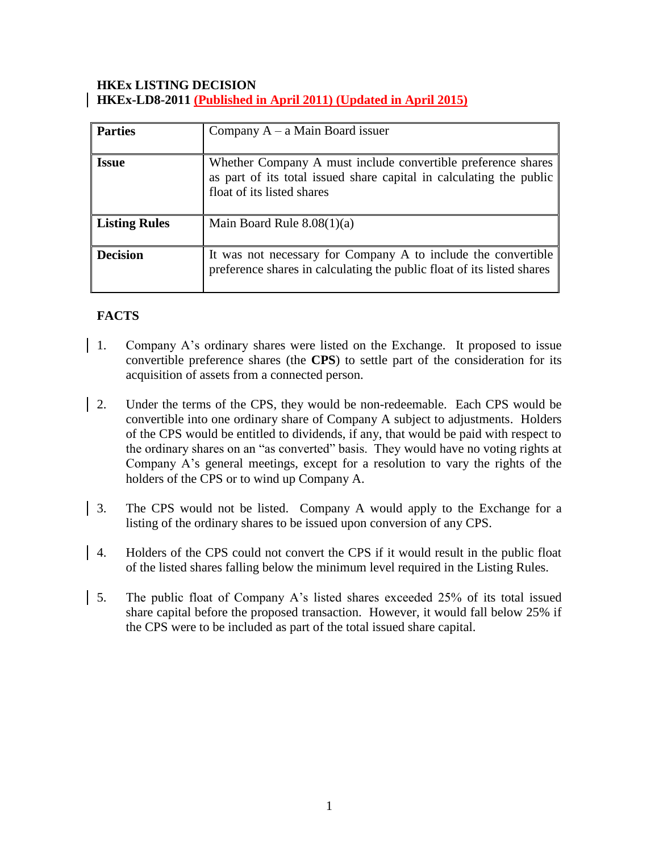## **HKEx LISTING DECISION HKEx-LD8-2011 (Published in April 2011) (Updated in April 2015)**

| <b>Parties</b>       | Company $A - a$ Main Board issuer                                                                                                                                 |
|----------------------|-------------------------------------------------------------------------------------------------------------------------------------------------------------------|
| <b>Issue</b>         | Whether Company A must include convertible preference shares<br>as part of its total issued share capital in calculating the public<br>float of its listed shares |
| <b>Listing Rules</b> | Main Board Rule $8.08(1)(a)$                                                                                                                                      |
| <b>Decision</b>      | It was not necessary for Company A to include the convertible<br>preference shares in calculating the public float of its listed shares                           |

# **FACTS**

- 1. Company A's ordinary shares were listed on the Exchange. It proposed to issue convertible preference shares (the **CPS**) to settle part of the consideration for its acquisition of assets from a connected person.
- 2. Under the terms of the CPS, they would be non-redeemable. Each CPS would be convertible into one ordinary share of Company A subject to adjustments. Holders of the CPS would be entitled to dividends, if any, that would be paid with respect to the ordinary shares on an "as converted" basis. They would have no voting rights at Company A's general meetings, except for a resolution to vary the rights of the holders of the CPS or to wind up Company A.
- 3. The CPS would not be listed. Company A would apply to the Exchange for a listing of the ordinary shares to be issued upon conversion of any CPS.
- 4. Holders of the CPS could not convert the CPS if it would result in the public float of the listed shares falling below the minimum level required in the Listing Rules.
- 5. The public float of Company A's listed shares exceeded 25% of its total issued share capital before the proposed transaction. However, it would fall below 25% if the CPS were to be included as part of the total issued share capital.